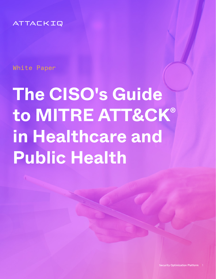ATTACKIQ

White Paper

# **The CISO's Guide to MITRE ATT&CK® in Healthcare and Public Health**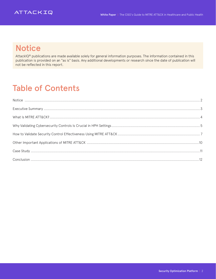

### **Notice**

AttackIQ® publications are made available solely for general information purposes. The information contained in this publication is provided on an "as is" basis. Any additional developments or research since the date of publication will not be reflected in this report.

# Table of Contents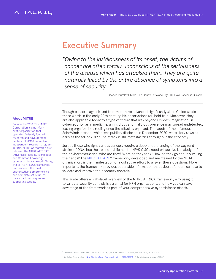#### <span id="page-2-0"></span>Executive Summary

*"Owing to the insidiousness of its onset, the victims of cancer are often totally unconscious of the seriousness of the disease which has attacked them. They are quite naturally lulled by the entire absence of symptoms into a sense of security…"*

– Charles Plumley Childe, The Control of a Scourge: Or, How Cancer is Curable1

#### About MITRE

Founded in 1958, The MITRE Corporation is a not-forprofit organization that operates federally funded research and development centers (FFRDCs), as well as independent research programs. In 2015, MITRE Corporation first released the MITRE ATT&CK® (Adversarial Tactics, Techniques, and Common Knowledge) cybersecurity framework. Today, the MITRE ATT&CK framework is considered the most authoritative, comprehensive, and complete set of up-todate attack techniques and supporting tactics.

Though cancer diagnosis and treatment have advanced significantly since Childe wrote these words in the early 20th century, his observations still hold true. Moreover, they are also applicable today to a type of threat that was beyond Childe's imagination: in cybersecurity, as in medicine, an insidious and malicious presence may spread undetected, leaving organizations reeling once the attack is exposed. The seeds of the infamous SolarWinds breach, which was publicly disclosed in December 2020, were likely sown as early as the fall of 2019.<sup>2</sup> The attack is still metastasizing throughout the economy.

Just as those who fight various cancers require a deep understanding of the wayward strains of DNA, healthcare and public health (HPH) CISOs need exhaustive knowledge of their cyberadversaries. Who are they? What do they seek? How do they go about pursuing their ends? The [MITRE ATT&CK](https://attack.mitre.org/)<sup>®</sup> framework, developed and maintained by the MITRE organization, is the manifestation of a collective effort to answer these questions. More important, the framework provides actionable information that cyberdefenders can use to validate and improve their security controls.

This guide offers a high-level overview of the MITRE ATT&CK framework, why using it to validate security controls is essential for HPH organizations, and how you can take advantage of the framework as part of your comprehensive cyberdefense efforts.

<sup>1</sup> Charles Plumley Childe, The Control of a Scourge, Or How Cancer is Curable, Dutton, 1907., pp 153-154

<sup>2</sup> Sudhakar Ramakrishna, ["New Findings From Our Investigation of SUNBURST,"](https://orangematter.solarwinds.com/2021/01/11/new-findings-from-our-investigation-of-sunburst/) Solarwinds.com, January 11,2021.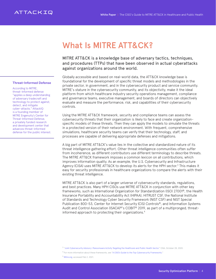### <span id="page-3-0"></span>What Is MITRE ATT&CK?

MITRE ATT&CK is a knowledge base of adversary tactics, techniques, and procedures (TTPs) that have been observed in actual cyberattacks against organizations around the world.

Globally accessible and based on real-world data, the ATT&CK knowledge base is foundational for the development of specific threat models and methodologies in the private sector, in government, and in the cybersecurity product and service community. MITRE's stature in the cybersecurity community, and its objectivity, make it the ideal platform from which healthcare industry security operations management, compliance and governance teams, executive management, and boards of directors can objectively evaluate and measure the performance, risk, and capabilities of their cybersecurity controls.

Using the MITRE ATT&CK framework, security and compliance teams can assess the cybersecurity threats that their organization is likely to face and create organizationspecific models of these threats. Then they can apply the models to simulate the threats in a protected version of their network environment. With frequent, comprehensive simulations, healthcare security teams can verify that their technology, staff, and processes are capable of delivering appropriate defenses and mitigations.

A big part of MITRE ATT&CK's value lies in the collective and standardized nature of its threat intelligence gathering effort. Other threat intelligence communities often suffer from incoherence, as different contributors use different terminology to describe threats. The MITRE ATT&CK framework imposes a common lexicon on all contributions, which improves information quality. As an example, the U.S. Cybersecurity and Infrastructure Agency (CISA) uses MITRE ATT&CK to develop its alerts for the HPH sector.<sup>3</sup> This makes it easy for security professionals in healthcare organizations to compare the alerts with their existing threat intelligence.

MITRE ATT&CK is also part of a larger universe of cybersecurity standards, regulations, and best practices. Many HPH CISOs use MITRE ATT&CK in conjunction with other key frameworks, such as International Organization for Standardization (ISO) 27001®, the Health Insurance Portability and Accountability Act (HIPAA), HITRUST CSF, the National Institute of Standards and Technology Cyber Security Framework (NIST CSF) and NIST Special Publication 800-53, Center for Internet Security (CIS) Controls®, and Information Systems Audit and Control Association (ISACA)®'s COBIT® 2019, as part of a multipronged, threatinformed approach to protecting their organizations.4

#### Threat-Informed Defense

According to MITRE, threat-informed defense "applies a deep understanding of adversary tradecraft and technology to protect against, detect, and mitigate cyber-attacks." AttackIQ is a founding member of MITRE Engenuity's Center for Threat-Informed Defense, a privately funded research and development center that advances threat-informed defense for the public interest.

<sup>&</sup>lt;sup>3</sup> "[Joint Cybersecurity Advisory | Ransomware Activity Targeting the Healthcare and Public Health Sector,"](https://us-cert.cisa.gov/sites/default/files/publications/AA20-302A_Ransomware%20_Activity_Targeting_the_Healthcare_and_Public_Health_Sector.pdf) CISA, October 28, 2020.

<sup>&</sup>lt;sup>4</sup> For more information about these frameworks, see ["A CISO's Guide to the Top Cybersecurity Frameworks.](https://attackiq.com/lp/cisos-guide-to-the-top-cybersecurity-frameworks/?utm_source=collateral)"

<sup>5</sup> [Mitre.org,](https://www.mitre.org/news/focal-points/threat-informed-defense#:~:text=%22Threat%2Dinformed%20defense%22%20applies,approach%20to%20a%20worldwide%20challenge.) accessed Feb 2, 2021.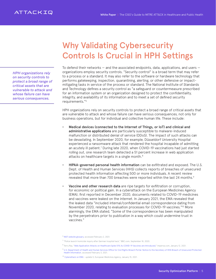<span id="page-4-0"></span>*HPH organizations rely on security controls to protect a broad range of critical assets that are vulnerable to attack and whose failure can have serious consequences.*

### Why Validating Cybersecurity Controls Is Crucial in HPH Settings

To defend their networks  $-$  and the associated endpoints, data, applications, and users  $$ organizations employ security controls. "Security control" is a broad term that may refer to a process or a standard. It may also refer to the software or hardware technology that performs gatekeeping, inspection, quarantining, alerting, or other defensive or impactmitigating tasks in service of the process or standard. The National Institute of Standards and Technology defines a security control as "a safeguard or countermeasure prescribed for an information system or an organization designed to protect the confidentiality, integrity, and availability of its information and to meet a set of defined security requirements."<sup>6</sup>

HPH organizations rely on security controls to protect a broad range of critical assets that are vulnerable to attack and whose failure can have serious consequences, not only for business operations, but for individual and collective human life. These include:

- Medical devices (connected to the Internet of Things, or IoT) and clinical and administrative applications are particularly susceptible to malware-induced malfunction or distributed denial of service (DDoS). The impact of such attacks can be devastating. In September 2020, for example, Düsseldorf University Hospital experienced a ransomware attack that rendered the hospital incapable of admitting an acutely ill patient.7 During late 2020, when COVID-19 vaccinations had just started rolling out, one research team detected a 51 percent increase in web application attacks on healthcare targets in a single month.<sup>8</sup>
- HIPAA-governed personal health information can be exfiltrated and exposed. The U.S. Dept. of Health and Human Services (HHS) collects reports of breaches of unsecured protected health information affecting 500 or more individuals. A recent review revealed that more than 700 breaches were reported within the last 24 months.<sup>9</sup>
- Vaccine and other research data are ripe targets for exfiltration or corruption, for economic or political gain. In a cyberattack on the European Medicines Agency (EMA), first reported in December 2020, documents related to COVID-19 medicines and vaccines were leaked on the internet. In January 2021, the EMA revealed that the leaked data "included internal/confidential email correspondence dating from November 2020, relating to evaluation processes for COVID-19 vaccines."10 More alarmingly, the EMA stated, "Some of the correspondence has been manipulated by the perpetrators prior to publication in a way which could undermine trust in vaccines."

 $9$  U.S. Department of Health and Human Services Office for Civil Rights Breach Portal: Notice to the Secretary of HHS Breach of Unsecured Protected [Health Information](https://ocrportal.hhs.gov/ocr/breach/breach_report.jsf), accessed February 3, 2021.

<sup>&</sup>lt;sup>6</sup> [NIST website glossary](https://csrc.nist.gov/glossary/term/security_control), accessed February 2, 2021.

 $^7$  "Police launch homicide inquiry after German hospital hack," BBC.com, September 18, 2020.

<sup>8</sup> Terry Ray, "[Web Application Attacks on Healthcare Spike 51% As COVID-19 Vaccines are Introduced,](https://www.imperva.com/blog/web-application-attacks-on-healthcare-spike-51-as-covid-19-vaccines-are-introduced/)" Imperva.com, January 12, 2021.

<sup>&</sup>lt;sup>10</sup> [Cyberattack on EMA](https://www.ema.europa.eu/en/news/cyberattack-ema-update-5) - update 5, European Medicines Agency, January 15, 2021.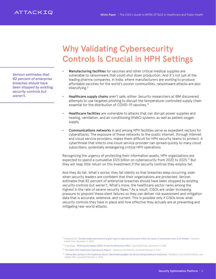*Verizon estimates that 82 percent of enterprise breaches should have been stopped by existing security controls but weren't.*

## Why Validating Cybersecurity Controls Is Crucial in HPH Settings

- Manufacturing facilities for vaccines and other critical medical supplies are vulnerable to ransomware that could shut down production. And it's not just at the leading pharma companies. In India, where manufacturers are working to produce affordable vaccines for the world's poorer communities, ransomware attacks are also intensifying.<sup>11</sup>
- Healthcare supply chains aren't safe, either. Security researchers at IBM discovered attempts to use targeted phishing to disrupt the temperature-controlled supply chain essential for the distribution of COVID-19 vaccines.<sup>12</sup>
- Healthcare facilities are vulnerable to attacks that can disrupt power supplies and heating, ventilation, and air conditioning (HVAC) systems, as well as patient oxygen supply.
- Communications networks in and among HPH facilities serve as expedient vectors for cyberattacks. The exposure of these networks to the public internet, through internet and cloud service providers, makes them difficult for HPH security teams to protect. A cyberthreat that infects one cloud service provider can spread quickly to many cloud subscribers, potentially endangering critical HPH operations.

Recognizing the urgency of protecting their information assets, HPH organizations are expected to spend a cumulative \$125 billion on cybersecurity from 2020 to 2025.13 But they will reap little return on this investment if the security controls they employ fail.

And they do fail. What's worse, they fail silently so that breaches keep occurring, even when security leaders are confident that their organizations are protected. Verizon estimates that 82 percent of enterprise breaches should have been stopped by existing security controls but weren't. What's more, the healthcare sector ranks among the highest in the rate of severe security flaws.<sup>14</sup> As a result, CISOs are under increasing pressure to pinpoint these silent failures so they can deliver risk assessment and mitigation data that is accurate, extensive, and current. This is possible only if CISOs know what security controls they have in place and how effective they actually are at preventing and mitigating real-world attacks.

<sup>&</sup>lt;sup>11</sup> Prabhjote Gill, ["Another Indian pharmaceutical giant reports cybersecurity breach within two weeks of ransomware hack on Dr Reddy's,"](https://www.businessinsider.in/tech/enterprise/news/lupin-reports-cybersecurity-breach-within-two-weeks-of-ransomware-hack-on-dr-reddys/articleshow/79061065.cms) Business Insider India, November 5, 2020.

<sup>&</sup>lt;sup>12</sup> Frank Bajak, "[Phishing ploy targets COVID-19 vaccine distribution effort,](https://apnews.com/article/immunizations-phishing-south-korea-coronavirus-pandemic-email-9fa5110f3a2c16858a445df588d7d611)" Associated Press, December 3, 2020.

<sup>&</sup>lt;sup>13</sup> ["The 2020-2021 Healthcare Cybersecurity Report,](https://www.herjavecgroup.com/healthcare-cybersecurity-report-2021/)" Cybersecurity Ventures, accessed February 4, 2021.

<sup>&</sup>lt;sup>14</sup> "I[nternet Risk Surface in The Healthcare Sector: Benchmarking digital risk factors facing healthcare institutions,](https://cdn2.hubspot.net/hubfs/2477095/Healthcare%20Risk%20Surface%20Report%20March%202020/RR-Healthcare-RiskSurface.pdf?__hstc=127855378.581170ce0eec765f9787944a3409beb7.1611694708196.1611694708196.1611694708196.1&__hssc=127855378.1.1611694708197&__hsfp=1461719457&hsCtaTracking=a72ad423-b620-47fe-be0a-9bc27fbdb6e0%7C478e1bc6-185e-4cf8-9ecd-f95013794f1a)" RiskRecon, the Cyentia Institute, and Health-ISAC, accessed February 3, 2020.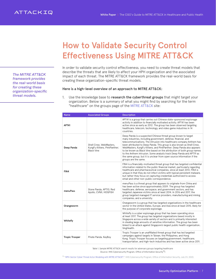How to Validate Security Control Effectiveness Using MITRE ATT&CK

In order to validate security control effectiveness, you need to create threat models that describe the threats that are likely to affect your HPH organization and the associated impact of each threat. The MITRE ATT&CK framework provides the real-world basis for creating these organization-specific threat models.

#### Here is a high-level overview of an approach to MITRE ATT&CK:

1. Use the knowledge base to research the cyberthreat groups that might target your organization. Below is a summary of what you might find by searching for the term "healthcare" on the groups page of the [MITRE ATT&CK](https://attack.mitre.org/groups/) site:

| <b>Name</b>           | <b>Associated Groups</b>                                                     | <b>Description</b>                                                                                                                                                                                                                                                                                                                                                                                                                                                                                                                                                                                            |
|-----------------------|------------------------------------------------------------------------------|---------------------------------------------------------------------------------------------------------------------------------------------------------------------------------------------------------------------------------------------------------------------------------------------------------------------------------------------------------------------------------------------------------------------------------------------------------------------------------------------------------------------------------------------------------------------------------------------------------------|
| <b>APT41</b>          |                                                                              | APT41 is a group that carries out Chinese state-sponsored espionage<br>activity in addition to financially motivated activity. APT41 has been<br>active since as early as 2012. The group has been observed targeting<br>healthcare, telecom, technology, and video game industries in 14<br>countries.                                                                                                                                                                                                                                                                                                       |
| Deep Panda            | Shell Crew, WebMasters,<br>KungFu Kittens, PinkPanther,<br><b>Black Vine</b> | Deep Panda is a suspected Chinese threat group known to target<br>many industries, including government, defense, financial, and<br>telecommunications. The intrusion into healthcare company Anthem has<br>been attributed to Deep Panda. This group is also known as Shell Crew,<br>WebMasters, KungFu Kittens, and PinkPanther. Deep Panda also appears<br>to be known as Black Vine based on the attribution of both group names<br>to the Anthem intrusion. Some analysts track Deep Panda and APT19 as<br>the same group, but it is unclear from open source information if the<br>groups are the same. |
| FIN4                  |                                                                              | FIN4 is a financially-motivated threat group that has targeted confidential<br>information related to the public financial market, particularly regarding<br>healthcare and pharmaceutical companies, since at least 2013. FIN4 is<br>unique in that they do not infect victims with typical persistent malware,<br>but rather they focus on capturing credentials authorized to access<br>email and other non-public correspondence.                                                                                                                                                                         |
| menuPass              | Stone Panda, APT10, Red<br>Apollo, CVNX, HOGFISH                             | menuPass is a threat group that appears to originate from China and<br>has been active since approximately 2009. The group has targeted<br>healthcare, defense, aerospace, and government sectors, and has<br>targeted Japanese victims since at least 2014. In 2016 and 2017, the<br>group targeted managed IT service providers, manufacturing and mining<br>companies, and a university.                                                                                                                                                                                                                   |
| Orangeworm            |                                                                              | Orangeworm is a group that has targeted organizations in the healthcare<br>sector in the United States, Europe, and Asia since at least 2015, likely for<br>the purpose of corporate espionage.                                                                                                                                                                                                                                                                                                                                                                                                               |
| Whitefly              |                                                                              | Whitefly is a cyber espionage group that has been operating since<br>at least 2017. The group has targeted organizations based mostly in<br>Singapore across a wide variety of sectors and is primarily interested<br>in stealing large amounts of sensitive information. The group has been<br>linked to an attack against Singapore's largest public health organization,<br>SingHealth.                                                                                                                                                                                                                    |
| <b>Tropic Trooper</b> | Pirate Panda, KeyBoy                                                         | Tropic Trooper is an unaffiliated threat group that has led targeted<br>campaigns against targets in Taiwan, the Philippines, and Hong<br>Kong. Tropic Trooper focuses on targeting government, healthcare,<br>transportation, and high-tech industries and has been active since 2011.                                                                                                                                                                                                                                                                                                                       |

Table 1. Sample MITRE ATT&CK search results for adversary groups targeting healthcare [Source: HHS Cybersecurity Program, Office of Information Security<sup>15</sup>]

15 ["HPH-Sector Cyber Threat Actor Modeling with MITRE ATT&CK®,](https://www.hhs.gov/sites/default/files/hph-threat-profiling-mitre-attck.pdf)" HHS Cybersecurity Program, Office of Information Security, July 23, 2020.

<span id="page-6-0"></span>*The MITRE ATT&CK framework provides the real-world basis for creating these organization-specific threat models.*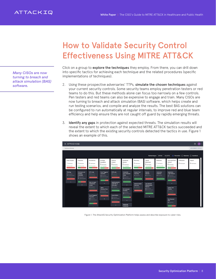### How to Validate Security Control Effectiveness Using MITRE ATT&CK

*Many CISOs are now turning to breach and attack simulation (BAS) software.*

Click on a group to explore the techniques they employ. From there, you can drill down into specific tactics for achieving each technique and the related procedures (specific implementations of techniques).

- 2. Using these prospective adversaries' TTPs, simulate the chosen techniques against your current security controls. Some security teams employ penetration testers or red teams to do this. But these methods alone can focus too narrowly on a few controls. Pen testers and red teams can also be expensive to engage and train. Many CISOs are now turning to breach and attack simulation (BAS) software, which helps create and run testing scenarios, and compile and analyze the results. The best BAS solutions can be configured to run automatically at regular intervals, to improve red and blue team efficiency and help ensure they are not caught off guard by rapidly emerging threats.
- 3. Identify any gaps in protection against expected threats. The simulation results will reveal the extent to which each of the selected MITRE ATT&CK tactics succeeded and the extent to which the existing security controls detected the tactics in use. Figure 1 shows an example of this.

| $\mathcal{N}$ -<br>$\circ$<br>$\equiv$ ATTACKIQ                                             |                                                                                                     |                                                                                                                  |                                                                                                            |                                                                                           |                                                                                                     |                                                                                  |                                                                                                                 |                                                           |                                                                                                                |                                     |                        |  |
|---------------------------------------------------------------------------------------------|-----------------------------------------------------------------------------------------------------|------------------------------------------------------------------------------------------------------------------|------------------------------------------------------------------------------------------------------------|-------------------------------------------------------------------------------------------|-----------------------------------------------------------------------------------------------------|----------------------------------------------------------------------------------|-----------------------------------------------------------------------------------------------------------------|-----------------------------------------------------------|----------------------------------------------------------------------------------------------------------------|-------------------------------------|------------------------|--|
| Dashboard (Activity)                                                                        |                                                                                                     |                                                                                                                  |                                                                                                            |                                                                                           |                                                                                                     |                                                                                  |                                                                                                                 |                                                           |                                                                                                                |                                     | ASSESSMENTS FEED (4)   |  |
|                                                                                             |                                                                                                     |                                                                                                                  |                                                                                                            |                                                                                           |                                                                                                     |                                                                                  | <b>Subtechniques</b>                                                                                            | <b>EXPAND</b>                                             | COLLAPSE                                                                                                       | ◉ Prevention ( Detection ( Combined |                        |  |
| <b>Initial Access</b><br>1 Techniques<br><b>O'll Prevented</b>                              | Execution<br>Techniques<br><b>34% Prevented</b>                                                     | Persistence<br>4 Techniques<br>39% Prevented                                                                     | Privilege<br>Escalation<br>2 Techniques<br>50% Prevented                                                   | Defense<br>Evasion<br>9 Techniques<br>52% Prevented                                       | Credential<br>Access<br>3 Techniques<br>92% Prevented                                               | Discovery<br>2 Techniques<br>50% Prevented                                       | Lateral<br>Movement<br>2 Techniques<br>75% Prevented                                                            | Collection<br>Techniques<br><b>OD's Prevented</b>         | Command And<br>Control<br>3 Techniques<br><b>40% Prevented</b>                                                 | Exfiltration<br>O Techniques        | Impact<br>O Techniques |  |
| Phishing<br><b>01</b> Scenarios<br><b>01</b> Subtechniques<br>D's Prevented<br>$\checkmark$ | Command and<br>Scripting<br>Interpreter<br><b>02</b> Scenarios<br>01 Subtechniques<br>34% Prevented | <b>BITS Jobs</b><br>01 Scenarios<br><b>O'll Prevented</b><br><b>Boot or Logon</b>                                | <b>Event Triggered</b><br>Execution<br><b>OS</b> Scenarios<br>04 Subtechniques<br>58% Prevented            | BITS Jobs<br><b>01</b> Scenarios<br><b>O'll Prevented</b><br>Deobfuscate/De               | Credentials<br>from Password<br><b>Stores</b><br>02 Scenarios<br>02 Subtechniques<br>100% Prevented | <b>Domain Trust</b><br><b>Discovery</b><br>01 Scenarios<br>100% Prevented        | Remote<br><b>Services</b><br>01 Scenarios<br>0% Prevented                                                       | Automated<br>Collection<br>01 Scenarios<br>100% Prevented | <b>Application</b><br><b>Layer Protocol</b><br><b>02</b> Scenarios<br><b>01</b> Subtechniques<br>50% Prevented |                                     |                        |  |
|                                                                                             | $\checkmark$                                                                                        | Initialization<br><b>Scripts</b><br>01 Scenarios<br>O's Prevented                                                | $\checkmark$<br><b>Hijack</b><br><b>Execution Flow</b><br>01 Scenarios<br>01 Subtechniques<br>0% Prevented | code Files or<br>Informatio<br>01 Scenarios<br>100% Prevented                             | $\check{~}$<br>OS Credential<br>Dumping<br><b>07</b> Scenarios<br><b>08</b> Subtechniques           | <b>Remote System</b><br><b>Discovery</b><br>01 Scenarios<br><b>O'L Prevented</b> | <b>Use Alternate</b><br>Authentication<br><b>Material</b><br>02 Scenarios<br>02 Subtechniques<br>100% Prevented |                                                           | $\checkmark$<br><b>Ingress Tool</b><br>Transfer<br><b>01 Scenarios</b><br><b>CIL Prevented</b>                 |                                     |                        |  |
|                                                                                             |                                                                                                     | <b>Event Triggered</b><br>Execution<br><b>GR</b> Scenarios<br><b>06</b> Subtechniques<br>50% Prevented<br>$\sim$ | $\checkmark$                                                                                               | <b>Hide Artifacts</b><br>01 Scenarios<br>01 Subtechniques<br>0% Prevented<br>$\checkmark$ | 86% Prevented<br>$\checkmark$<br><b>Unsecured</b><br>Credentials                                    |                                                                                  | $\checkmark$                                                                                                    |                                                           | Non-Standard<br>Port<br>02 Scenarios<br>SO's Prevented                                                         |                                     |                        |  |

Figure 1. The AttackIQ Security Optimization Platform helps assess and describe exposure to cyber risks.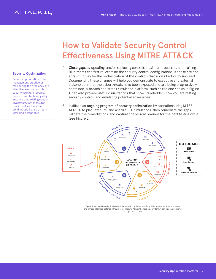#### ATTACKIQ

### How to Validate Security Control Effectiveness Using MITRE ATT&CK

#### Security Optimization

Security optimization is the management practice of maximizing the efficiency and effectiveness of your total security program (people, process, and technology) by ensuring that existing control investments are measured, monitored, and modified continuously from a threatinformed perspective.

- 4. Close gaps by updating and/or replacing controls, business processes, and training. Blue teams can first re-examine the security control configurations; if these are not at fault, it may be the orchestration of the controls that allows tactics to succeed. Documenting these changes will help you demonstrate to executive and external stakeholders that the cyberthreats have been exposed and are being progressively contained. A breach and attack simulation platform, such as the one shown in Figure 1, can also provide useful visualizations that show stakeholders how you are testing security controls and emulating potential adversaries.
- 5. Institute an ongoing program of security optimization by operationalizing MITRE ATT&CK to plan, execute, and analyze TTP simulations, then remediate the gaps, validate the remediations, and capture the lessons learned for the next testing cycle (see Figure 2).



Figure 2. Organizations typically adopt the security optimization lifecycle in phases, as their processes and threat-informed defense infrastructure mature. AttackIQ offers blueprints that can guide your teams through this process.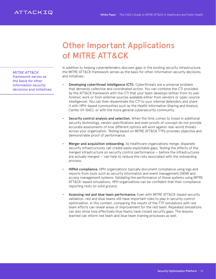### Other Important Applications of MITRE ATT&CK

<span id="page-9-0"></span>*MITRE ATT&CK framework serves as the basis for other information security decisions and initiatives.* In addition to helping cyberdefenders discover gaps in the existing security infrastructure, the MITRE ATT&CK framework serves as the basis for other information security decisions and initiatives:

- Developing cyberthreat intelligence (CTI). Cyberthreats are a universal problem that demands collective and coordinated action. You can combine the CTI provided by the ATT&CK framework with the CTI that your team develops (either from its own forensic work or from external sources available either from vendors or open-source intelligence). You can then disseminate the CTI to your internal defenders and share it with HPH-based communities such as the Health Information Sharing and Analysis Center (H-ISAC), or with the more general cybersecurity community.
- Security control analysis and selection. When the time comes to invest in additional security technology, vendor specifications and even proofs of concept do not provide accurate assessments of how different options will work against real-world threats across your organization. Testing based on MITRE ATT&CK TTPs provides objective and demonstrable proof of performance.
- **Merger and acquisition onboarding.** As healthcare organizations merge, disparate security infrastructures can create easily exploitable gaps. Testing the effects of the merged infrastructure on security control performance — before the infrastructures are actually merged — can help to reduce the risks associated with the onboarding process.
- HIPAA compliance. HPH organizations typically document compliance using logs and reports from tools such as security information and event management (SIEM) and access management systems. Validating the performance of these systems using MITRE ATT&CK-based simulations, HPH organizations can be confident that their compliance reporting rests on solid ground.
- Assessing red and blue team performance. Even with MITRE ATT&CK-based security validation, red and blue teams still have important roles to play in security control optimization. In this context, comparing the results of the TTP simulations with red team efforts can reveal areas of improvement for the red team. Repeated simulations can also show how effectively blue teams have closed security gaps. The lessons learned can inform red team and blue team training processes as well.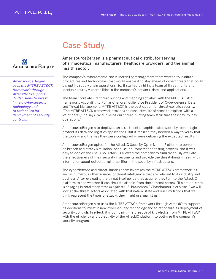

<span id="page-10-0"></span>

*AmerisourceBergen uses the MITRE ATT&CK framework through AttackIQ to support its decisions to invest in new cybersecurity technology and to rationalize its deployment of security controls.*

#### AmerisourceBergen is a pharmaceutical distributor serving pharmaceutical manufacturers, healthcare providers, and the animal health sector.

The company's cyberdefense and vulnerability management team wanted to institute procedures and technologies that would enable it to stay ahead of cyberthreats that could disrupt its supply chain operations. So, it started by hiring a team of threat hunters to identify security vulnerabilities in the company's network, data, and applications.

The team correlates its threat hunting and mapping activities with the MITRE ATT&CK framework. According to Kumar Chandramoulie, Vice President of Cyberdefense, Data, and Threat Management, MITRE ATT&CK is the best option for threat-centric security. "The MITRE ATT&CK framework provides an exhaustive list of areas to explore, with a lot of detail," he says, "and it helps our threat-hunting team structure their day-to-day operations."

AmerisourceBergen also deployed an assortment of sophisticated security technologies to protect its data and logistics applications. But it realized they needed a way to verify that the tools — and the way they were configured — were delivering the expected results.

AmerisourceBergen opted for the AttackIQ Security Optimization Platform to perform its breach and attack simulation, because it automates the testing process, and it was easy to deploy and use. Also, AttackIQ allowed the company to simultaneously evaluate the effectiveness of their security investments and provide the threat-hunting team with information about detected vulnerabilities in the security infrastructure.

The cyberdefense and threat-hunting team leverages the MITRE ATT&CK framework, as well as numerous other sources of threat intelligence that are relevant to its industry and business. After evaluating the threat intelligence they acquire, they turn to the AttackIQ platform to see whether it can simulate attacks from those threat actors. "If a nation-state is engaging in retaliatory attacks against U.S. businesses," Chandramoulie explains, "we will look at the threat actors associated with that nation-state and run simulations that we think represent the types of attacks they might use against us."

AmerisourceBergen also uses the MITRE ATT&CK framework through AttackIQ to support its decisions to invest in new cybersecurity technology and to rationalize its deployment of security controls. In effect, it is combining the breadth of knowledge from MITRE ATT&CK with the efficiency and objectivity of the AttackIQ platform to optimize the company's security program.